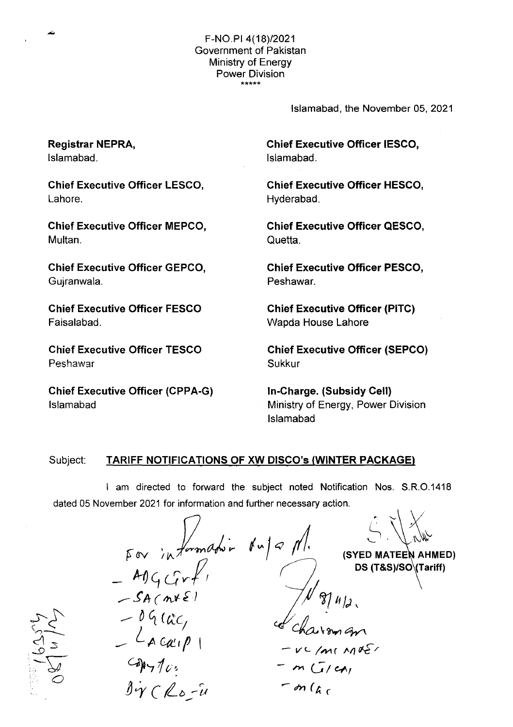Islamabad, the November 05, 2021

Chief Executive Officer IESCO, Islamabad.

Chief Executive Officer HESCO, Hyderabad.

Chief Executive Officer QESCO, Quetta.

Chief Executive Officer PESCO, Peshawar.

Chief Executive Officer (PITC) Wapda House Lahore

Chief Executive Officer (SEPCO) Sukkur

In-Charge. (Subsidy Cell) Ministry of Energy, Power Division Islamabad

## Subject: TARIFF NOTIFICATIONS OF **XW** DISCO's (WINTER PACKAGE)

I am directed to forward the subject noted Notification Nos. S.R.O.1418 dated 05 November 2021 for information and further necessary action.

For information du 9 Ml.  $\bigcup_{\nu} \mathcal{A}$ (SYED MATEEN AHMED)  $-409Grrf$ DS (T&S)/SO\(Tariff)  $-SA(nE)$  $-09(4c)$ <br>  $-09(4c)$ <br>  $-4c$   $2p$   $1$ <br>  $-9p$   $7p$  $\overline{a}$  $V$  C / MI MOS/  $-$  on  $\int$   $\int$   $\int$ 

Registrar NEPRA, Islamabad.

Chief Executive Officer LESCO, Lahore.

Chief Executive Officer MEPCO, Multan.

Chief Executive Officer GEPCO, Gujranwala.

Chief Executive Officer FESCO Faisalabad.

Chief Executive Officer TESCO Peshawar

Chief Executive Officer (CPPA-G) Islamabad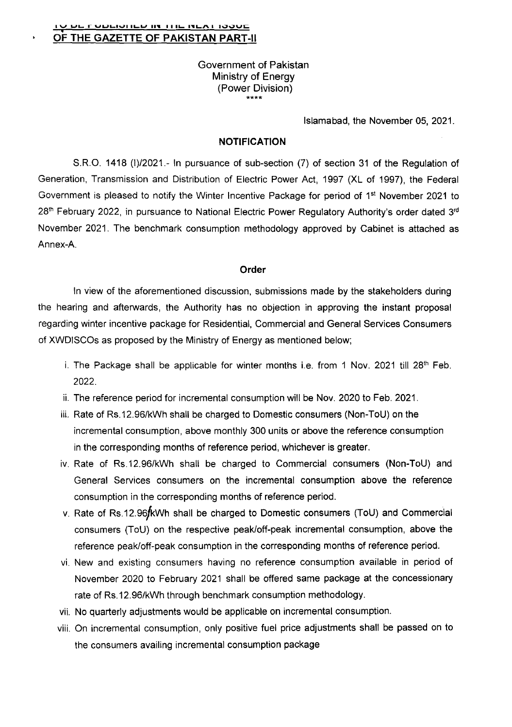Government of Pakistan Ministry of Energy (Power Division)

Islamabad, the November 05, 2021.

## NOTIFICATION

S.R.O. 1418 (1)/2021.- In pursuance of sub-section (7) of section 31 of the Regulation of Generation, Transmission and Distribution of Electric Power Act, 1997 (XL of 1997), the Federal Government is pleased to notify the Winter Incentive Package for period of 1<sup>st</sup> November 2021 to 28<sup>th</sup> February 2022, in pursuance to National Electric Power Regulatory Authority's order dated 3<sup>rd</sup> November 2021. The benchmark consumption methodology approved by Cabinet is attached as Annex-A.

## **Order**

In view of the aforementioned discussion, submissions made by the stakeholders during the hearing and afterwards, the Authority has no objection in approving the instant proposal regarding winter incentive package for Residential, Commercial and General Services Consumers of XWDlSCOs as proposed by the Ministry of Energy as mentioned below;

- i. The Package shall be applicable for winter months i.e. from 1 Nov. 2021 till  $28<sup>th</sup>$  Feb. 2022.
- ii. The reference period for incremental consumption will be Nov. 2020 to Feb. 2021.
- iii. Rate of Rs.12.96/kWh shall be charged to Domestic consumers (Non-ToU) on the incremental consumption, above monthly 300 units or above the reference consumption in the corresponding months of reference period, whichever is greater.
- iv. Rate of Rs.12.96/kWh shall be charged to Commercial consumers (Non-ToU) and General Services consumers on the incremental consumption above the reference consumption in the corresponding months of reference period.
- v. Rate of Rs.12.96fkWh shall be charged to Domestic consumers (ToU) and Commercial consumers (ToU) on the respective peak/off-peak incremental consumption, above the reference peak/off-peak consumption in the corresponding months of reference period.
- vi. New and existing consumers having no reference consumption available in period of November 2020 to February 2021 shall be offered same package at the concessionary rate of Rs.12.96/kWh through benchmark consumption methodology.
- vii. No quarterly adjustments would be applicable on incremental consumption.
- viii. On incremental consumption, only positive fuel price adjustments shall be passed on to the consumers availing incremental consumption package